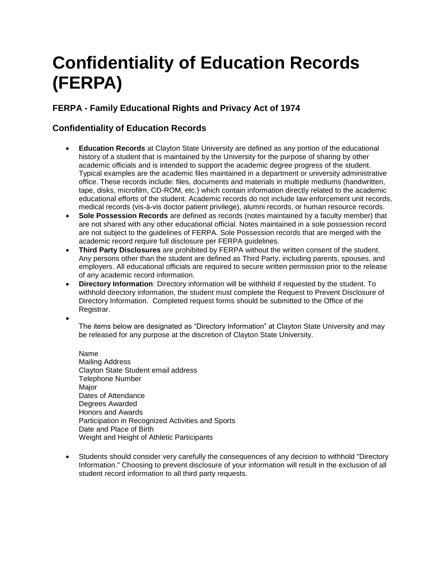## **Confidentiality of Education Records (FERPA)**

## **FERPA - Family Educational Rights and Privacy Act of 1974**

## **Confidentiality of Education Records**

 $\bullet$ 

- **Education Records** at Clayton State University are defined as any portion of the educational history of a student that is maintained by the University for the purpose of sharing by other academic officials and is intended to support the academic degree progress of the student. Typical examples are the academic files maintained in a department or university administrative office. These records include: files, documents and materials in multiple mediums (handwritten, tape, disks, microfilm, CD-ROM, etc.) which contain information directly related to the academic educational efforts of the student. Academic records do not include law enforcement unit records, medical records (vis-à-vis doctor patient privilege), alumni records, or human resource records.
- **Sole Possession Records** are defined as records (notes maintained by a faculty member) that are not shared with any other educational official. Notes maintained in a sole possession record are not subject to the guidelines of FERPA. Sole Possession records that are merged with the academic record require full disclosure per FERPA guidelines.
- **Third Party Disclosures** are prohibited by FERPA without the written consent of the student. Any persons other than the student are defined as Third Party, including parents, spouses, and employers. All educational officials are required to secure written permission prior to the release of any academic record information.
- **Directory Information**: Directory information will be withheld if requested by the student. To withhold directory information, the student must complete the Request to Prevent Disclosure of Directory Information. Completed request forms should be submitted to the Office of the Registrar.

The items below are designated as "Directory Information" at Clayton State University and may be released for any purpose at the discretion of Clayton State University.

- Name Mailing Address Clayton State Student email address Telephone Number Major Dates of Attendance Degrees Awarded Honors and Awards Participation in Recognized Activities and Sports Date and Place of Birth Weight and Height of Athletic Participants
- Students should consider very carefully the consequences of any decision to withhold "Directory Information." Choosing to prevent disclosure of your information will result in the exclusion of all student record information to all third party requests.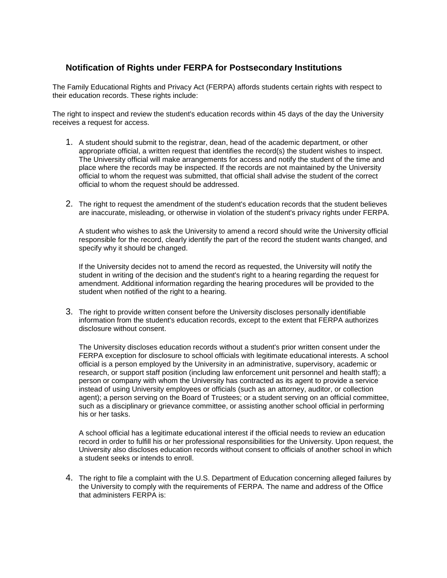## **Notification of Rights under FERPA for Postsecondary Institutions**

The Family Educational Rights and Privacy Act (FERPA) affords students certain rights with respect to their education records. These rights include:

The right to inspect and review the student's education records within 45 days of the day the University receives a request for access.

- 1. A student should submit to the registrar, dean, head of the academic department, or other appropriate official, a written request that identifies the record(s) the student wishes to inspect. The University official will make arrangements for access and notify the student of the time and place where the records may be inspected. If the records are not maintained by the University official to whom the request was submitted, that official shall advise the student of the correct official to whom the request should be addressed.
- 2. The right to request the amendment of the student's education records that the student believes are inaccurate, misleading, or otherwise in violation of the student's privacy rights under FERPA.

A student who wishes to ask the University to amend a record should write the University official responsible for the record, clearly identify the part of the record the student wants changed, and specify why it should be changed.

If the University decides not to amend the record as requested, the University will notify the student in writing of the decision and the student's right to a hearing regarding the request for amendment. Additional information regarding the hearing procedures will be provided to the student when notified of the right to a hearing.

3. The right to provide written consent before the University discloses personally identifiable information from the student's education records, except to the extent that FERPA authorizes disclosure without consent.

The University discloses education records without a student's prior written consent under the FERPA exception for disclosure to school officials with legitimate educational interests. A school official is a person employed by the University in an administrative, supervisory, academic or research, or support staff position (including law enforcement unit personnel and health staff); a person or company with whom the University has contracted as its agent to provide a service instead of using University employees or officials (such as an attorney, auditor, or collection agent); a person serving on the Board of Trustees; or a student serving on an official committee, such as a disciplinary or grievance committee, or assisting another school official in performing his or her tasks.

A school official has a legitimate educational interest if the official needs to review an education record in order to fulfill his or her professional responsibilities for the University. Upon request, the University also discloses education records without consent to officials of another school in which a student seeks or intends to enroll.

4. The right to file a complaint with the U.S. Department of Education concerning alleged failures by the University to comply with the requirements of FERPA. The name and address of the Office that administers FERPA is: